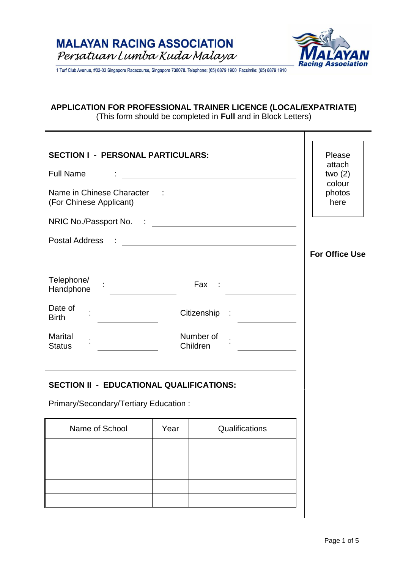

T

1 Turf Club Avenue, #02-03 Singapore Racecourse, Singapore 738078. Telephone: (65) 6879 1900 Facsimile: (65) 6879 1910

# **APPLICATION FOR PROFESSIONAL TRAINER LICENCE (LOCAL/EXPATRIATE)**

(This form should be completed in **Full** and in Block Letters)

| <b>SECTION I - PERSONAL PARTICULARS:</b>                                                                                                                                                                                                                                                                                                                                                                               |      |                                                                                                                      | Please<br>attach         |
|------------------------------------------------------------------------------------------------------------------------------------------------------------------------------------------------------------------------------------------------------------------------------------------------------------------------------------------------------------------------------------------------------------------------|------|----------------------------------------------------------------------------------------------------------------------|--------------------------|
| <b>Full Name</b>                                                                                                                                                                                                                                                                                                                                                                                                       |      | <u> 1980 - Johann Barn, mars ann an t-Amhain Aonaich an t-Aonaich an t-Aonaich ann an t-Aonaich ann an t-Aonaich</u> | two $(2)$                |
| Name in Chinese Character :<br>(For Chinese Applicant)                                                                                                                                                                                                                                                                                                                                                                 |      |                                                                                                                      | colour<br>photos<br>here |
|                                                                                                                                                                                                                                                                                                                                                                                                                        |      |                                                                                                                      |                          |
| <b>Postal Address</b>                                                                                                                                                                                                                                                                                                                                                                                                  |      | <u> Alexandria de la contrada de la contrada de la contrada de la contrada de la contrada de la contrada de la c</u> | <b>For Office Use</b>    |
| Telephone/<br>$\begin{picture}(20,20) \put(0,0){\dashbox{0.5}(5,0){ }} \put(15,0){\circle{10}} \put(15,0){\circle{10}} \put(15,0){\circle{10}} \put(15,0){\circle{10}} \put(15,0){\circle{10}} \put(15,0){\circle{10}} \put(15,0){\circle{10}} \put(15,0){\circle{10}} \put(15,0){\circle{10}} \put(15,0){\circle{10}} \put(15,0){\circle{10}} \put(15,0){\circle{10}} \put(15,0){\circle{10}} \put(15,0$<br>Handphone |      | Fax :                                                                                                                |                          |
| Date of<br><b>Birth</b>                                                                                                                                                                                                                                                                                                                                                                                                |      | Citizenship :                                                                                                        |                          |
| <b>Marital</b><br><b>Status</b>                                                                                                                                                                                                                                                                                                                                                                                        |      | Number of<br>Children                                                                                                |                          |
| <b>SECTION II - EDUCATIONAL QUALIFICATIONS:</b>                                                                                                                                                                                                                                                                                                                                                                        |      |                                                                                                                      |                          |
| Primary/Secondary/Tertiary Education:                                                                                                                                                                                                                                                                                                                                                                                  |      |                                                                                                                      |                          |
| Name of School                                                                                                                                                                                                                                                                                                                                                                                                         | Year | Qualifications                                                                                                       |                          |
|                                                                                                                                                                                                                                                                                                                                                                                                                        |      |                                                                                                                      |                          |
|                                                                                                                                                                                                                                                                                                                                                                                                                        |      |                                                                                                                      |                          |
|                                                                                                                                                                                                                                                                                                                                                                                                                        |      |                                                                                                                      |                          |
|                                                                                                                                                                                                                                                                                                                                                                                                                        |      |                                                                                                                      |                          |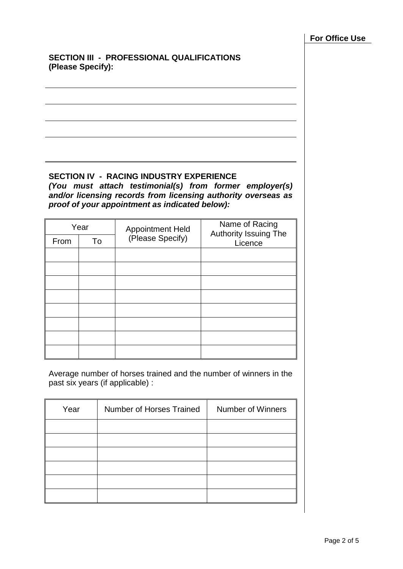# **SECTION III - PROFESSIONAL QUALIFICATIONS (Please Specify):**

#### **SECTION IV - RACING INDUSTRY EXPERIENCE** *(You must attach testimonial(s) from former employer(s) and/or licensing records from licensing authority overseas as proof of your appointment as indicated below):*

|      | Year | <b>Appointment Held</b> | Name of Racing<br><b>Authority Issuing The</b> |  |
|------|------|-------------------------|------------------------------------------------|--|
| From | To   | (Please Specify)        | Licence                                        |  |
|      |      |                         |                                                |  |
|      |      |                         |                                                |  |
|      |      |                         |                                                |  |
|      |      |                         |                                                |  |
|      |      |                         |                                                |  |
|      |      |                         |                                                |  |
|      |      |                         |                                                |  |
|      |      |                         |                                                |  |

Average number of horses trained and the number of winners in the past six years (if applicable) :

| Year | Number of Horses Trained | <b>Number of Winners</b> |
|------|--------------------------|--------------------------|
|      |                          |                          |
|      |                          |                          |
|      |                          |                          |
|      |                          |                          |
|      |                          |                          |
|      |                          |                          |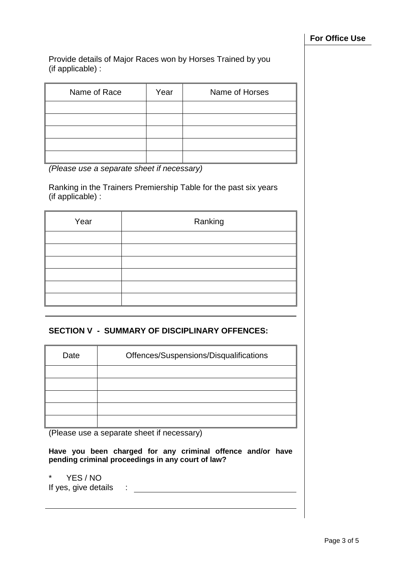Provide details of Major Races won by Horses Trained by you (if applicable) :

| Name of Race | Year | Name of Horses |
|--------------|------|----------------|
|              |      |                |
|              |      |                |
|              |      |                |
|              |      |                |
|              |      |                |

*(Please use a separate sheet if necessary)*

Ranking in the Trainers Premiership Table for the past six years (if applicable) :

| Ranking |
|---------|
|         |
|         |
|         |
|         |
|         |
|         |
|         |

#### **SECTION V - SUMMARY OF DISCIPLINARY OFFENCES:**

| Date | Offences/Suspensions/Disqualifications |
|------|----------------------------------------|
|      |                                        |
|      |                                        |
|      |                                        |
|      |                                        |
|      |                                        |

(Please use a separate sheet if necessary)

**Have you been charged for any criminal offence and/or have pending criminal proceedings in any court of law?**

\* YES / NO

If yes, give details :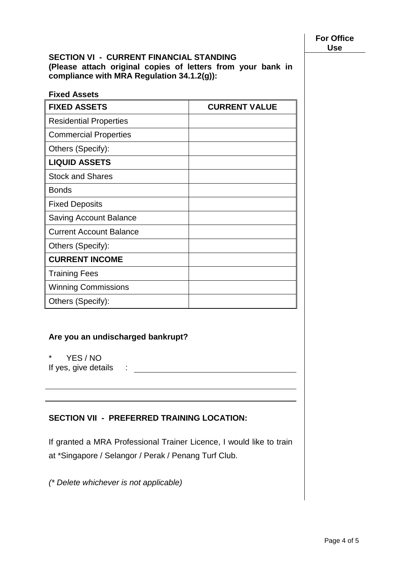#### **SECTION VI - CURRENT FINANCIAL STANDING (Please attach original copies of letters from your bank in compliance with MRA Regulation 34.1.2(g)):**

| <b>Fixed Assets</b>            |                      |
|--------------------------------|----------------------|
| <b>FIXED ASSETS</b>            | <b>CURRENT VALUE</b> |
| <b>Residential Properties</b>  |                      |
| <b>Commercial Properties</b>   |                      |
| Others (Specify):              |                      |
| <b>LIQUID ASSETS</b>           |                      |
| <b>Stock and Shares</b>        |                      |
| <b>Bonds</b>                   |                      |
| <b>Fixed Deposits</b>          |                      |
| <b>Saving Account Balance</b>  |                      |
| <b>Current Account Balance</b> |                      |
| Others (Specify):              |                      |
| <b>CURRENT INCOME</b>          |                      |
| <b>Training Fees</b>           |                      |
| <b>Winning Commissions</b>     |                      |
| Others (Specify):              |                      |

# **Are you an undischarged bankrupt?**

\* YES / NO

If yes, give details :

# **SECTION VII - PREFERRED TRAINING LOCATION:**

If granted a MRA Professional Trainer Licence, I would like to train at \*Singapore / Selangor / Perak / Penang Turf Club.

*(\* Delete whichever is not applicable)*

**For Office Use**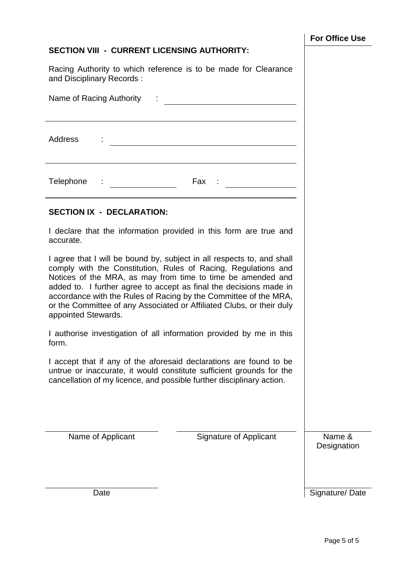# **SECTION VIII - CURRENT LICENSING AUTHORITY:**

Racing Authority to which reference is to be made for Clearance and Disciplinary Records :

| Name of Racing Authority                                                                                                                                                                                                                                                                                                                                                                                                                                                                                                 |                       |
|--------------------------------------------------------------------------------------------------------------------------------------------------------------------------------------------------------------------------------------------------------------------------------------------------------------------------------------------------------------------------------------------------------------------------------------------------------------------------------------------------------------------------|-----------------------|
| Address<br><u> 1980 - Johann Barn, mars ann an t-Amhain Aonaich an t-Aonaich an t-Aonaich ann an t-Aonaich ann an t-Aonaich</u>                                                                                                                                                                                                                                                                                                                                                                                          |                       |
| Telephone : _______________<br>$\begin{array}{c} \n\text{Fax} \quad : \ \underline{\hspace{1.5cm}} \qquad \qquad \text{or} \qquad \qquad \text{or} \qquad \text{or} \qquad \text{or} \qquad \text{or} \qquad \text{or} \qquad \text{or} \qquad \text{or} \qquad \text{or} \qquad \text{or} \qquad \text{or} \qquad \text{or} \qquad \text{or} \qquad \text{or} \qquad \text{or} \qquad \text{or} \qquad \text{or} \qquad \text{or} \qquad \text{or} \qquad \text{or} \qquad \text{or} \qquad \text{or} \qquad \text{or}$ |                       |
| <b>SECTION IX - DECLARATION:</b>                                                                                                                                                                                                                                                                                                                                                                                                                                                                                         |                       |
| I declare that the information provided in this form are true and<br>accurate.                                                                                                                                                                                                                                                                                                                                                                                                                                           |                       |
| I agree that I will be bound by, subject in all respects to, and shall<br>comply with the Constitution, Rules of Racing, Regulations and<br>Notices of the MRA, as may from time to time be amended and<br>added to. I further agree to accept as final the decisions made in<br>accordance with the Rules of Racing by the Committee of the MRA,<br>or the Committee of any Associated or Affiliated Clubs, or their duly<br>appointed Stewards.                                                                        |                       |
| I authorise investigation of all information provided by me in this<br>form.                                                                                                                                                                                                                                                                                                                                                                                                                                             |                       |
| I accept that if any of the aforesaid declarations are found to be<br>untrue or inaccurate, it would constitute sufficient grounds for the<br>cancellation of my licence, and possible further disciplinary action.                                                                                                                                                                                                                                                                                                      |                       |
| Name of Applicant<br><b>Signature of Applicant</b>                                                                                                                                                                                                                                                                                                                                                                                                                                                                       | Name &<br>Designation |
| Date                                                                                                                                                                                                                                                                                                                                                                                                                                                                                                                     | Signature/Date        |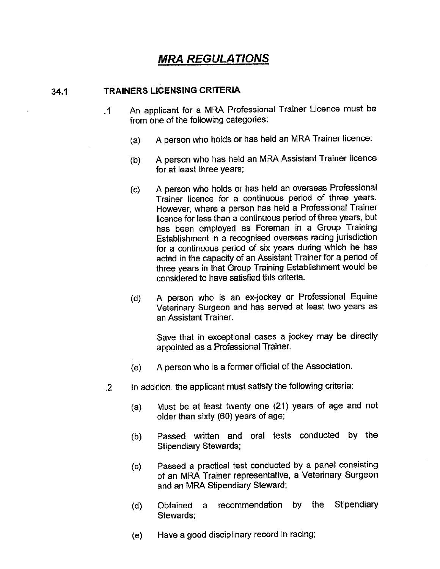# **MRA REGULATIONS**

#### **TRAINERS LICENSING CRITERIA**  $34.1$

- An applicant for a MRA Professional Trainer Licence must be  $\cdot$ 1 from one of the following categories:
	- A person who holds or has held an MRA Trainer licence;  $(a)$
	- A person who has held an MRA Assistant Trainer licence  $(b)$ for at least three years;
	- A person who holds or has held an overseas Professional  $(c)$ Trainer licence for a continuous period of three years. However, where a person has held a Professional Trainer licence for less than a continuous period of three years, but has been employed as Foreman in a Group Training Establishment in a recognised overseas racing jurisdiction for a continuous period of six years during which he has acted in the capacity of an Assistant Trainer for a period of three years in that Group Training Establishment would be considered to have satisfied this criteria.
	- A person who is an ex-jockey or Professional Equine (d) Veterinary Surgeon and has served at least two years as an Assistant Trainer.

Save that in exceptional cases a jockey may be directly appointed as a Professional Trainer.

- A person who is a former official of the Association.  $(e)$
- In addition, the applicant must satisfy the following criteria:  $\overline{2}$ 
	- Must be at least twenty one (21) years of age and not  $(a)$ older than sixty (60) years of age;
	- Passed written and oral tests conducted by the  $(b)$ **Stipendiary Stewards;**
	- Passed a practical test conducted by a panel consisting  $(c)$ of an MRA Trainer representative, a Veterinary Surgeon and an MRA Stipendiary Steward;
	- recommendation by the Stipendiary  $(d)$ Obtained a Stewards:
	- Have a good disciplinary record in racing; (e)